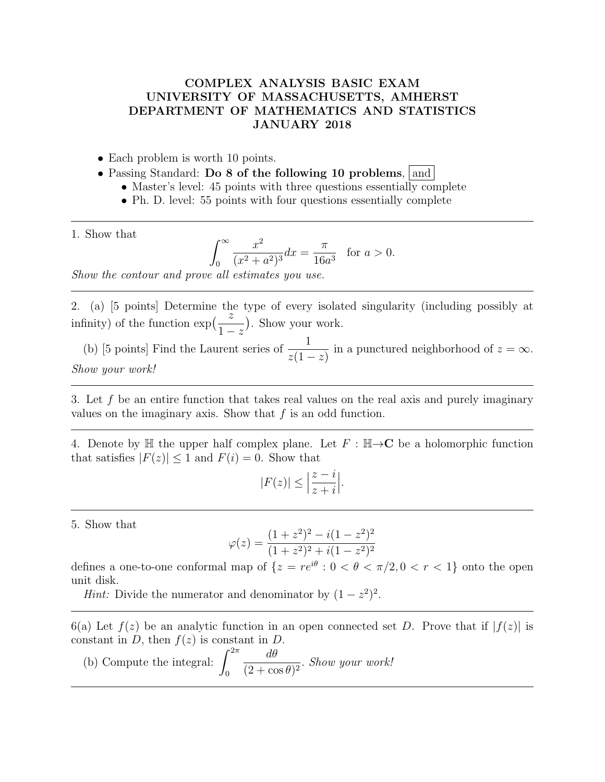## COMPLEX ANALYSIS BASIC EXAM UNIVERSITY OF MASSACHUSETTS, AMHERST DEPARTMENT OF MATHEMATICS AND STATISTICS JANUARY 2018

- Each problem is worth 10 points.
- Passing Standard: Do 8 of the following 10 problems, and
	- Master's level: 45 points with three questions essentially complete
	- Ph. D. level: 55 points with four questions essentially complete

1. Show that

$$
\int_0^\infty \frac{x^2}{(x^2 + a^2)^3} dx = \frac{\pi}{16a^3} \text{ for } a > 0.
$$

Show the contour and prove all estimates you use.

2. (a) [5 points] Determine the type of every isolated singularity (including possibly at infinity) of the function  $\exp\left(\frac{z}{1}\right)$  $1-z$ . Show your work.

(b) [5 points] Find the Laurent series of  $\frac{1}{1}$  $z(1-z)$ in a punctured neighborhood of  $z = \infty$ . Show your work!

3. Let f be an entire function that takes real values on the real axis and purely imaginary values on the imaginary axis. Show that  $f$  is an odd function.

4. Denote by H the upper half complex plane. Let  $F : \mathbb{H} \rightarrow \mathbb{C}$  be a holomorphic function that satisfies  $|F(z)| \leq 1$  and  $F(i) = 0$ . Show that

$$
|F(z)| \le \left|\frac{z-i}{z+i}\right|.
$$

5. Show that

$$
\varphi(z) = \frac{(1+z^2)^2 - i(1-z^2)^2}{(1+z^2)^2 + i(1-z^2)^2}
$$

defines a one-to-one conformal map of  $\{z = re^{i\theta} : 0 < \theta < \pi/2, 0 < r < 1\}$  onto the open unit disk.

*Hint*: Divide the numerator and denominator by  $(1 - z^2)^2$ .

6(a) Let  $f(z)$  be an analytic function in an open connected set D. Prove that if  $|f(z)|$  is constant in D, then  $f(z)$  is constant in D.

(b) Compute the integral:  $\int_{0}^{2\pi}$  $\boldsymbol{0}$ dθ  $\frac{dv}{(2 + \cos \theta)^2}$ . Show your work!